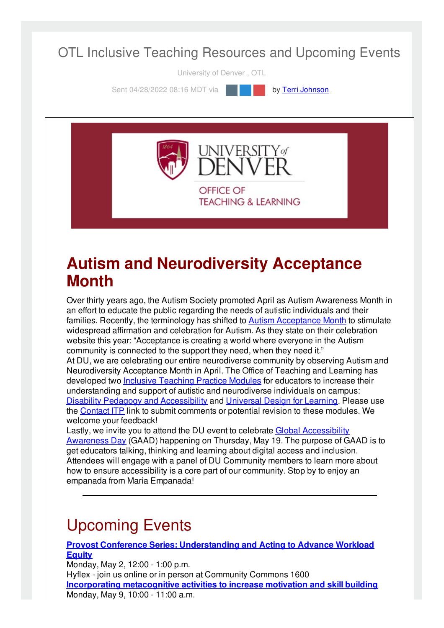#### OTL Inclusive Teaching Resources and Upcoming Events

University of Denver , OTL

Sent 04/28/2022 08:16 MDT via **by Terri [Johnson](file:///networks/du/users/1149646)** 



#### **Autism and Neurodiversity Acceptance Month**

Over thirty years ago, the Autism Society promoted April as Autism Awareness Month in an effort to educate the public regarding the needs of autistic individuals and their families. Recently, the terminology has shifted to **Autism [Acceptance](https://autismsociety.org/autism-acceptance-month/) Month** to stimulate widespread affirmation and celebration for Autism. As they state on their celebration website this year: "Acceptance is creating a world where everyone in the Autism community is connected to the support they need, when they need it." At DU, we are celebrating our entire neurodiverse community by observing Autism and Neurodiversity Acceptance Month in April. The Office of Teaching and Learning has developed two Inclusive [Teaching](https://inclusive-teaching.du.edu/modules) Practice Modules for educators to increase their understanding and support of autistic and neurodiverse individuals on campus: Disability Pedagogy and [Accessibility](https://inclusive-teaching.du.edu/disability-pedagogy-accessibility) and [Universal](https://inclusive-teaching.du.edu/universal-design-learning) Design for Learni[ng](https://inclusive-teaching.du.edu/universal-design-learning). Please use the [Contact](https://otl.du.edu/contact-itp/) ITP link to submit comments or potential revision to these modules. We welcome your feedback!

Lastly, we invite you to attend the DU event to celebrate Global [Accessibility](https://accessibility.du.edu/content/global-accessibility-awareness-day) Awareness Day (GAAD) happening on Thursday, May 19. The purpose of GAAD is to get educators talking, thinking and learning about digital access and inclusion. Attendees will engage with a panel of DU Community members to learn more about how to ensure accessibility is a core part of our community. Stop by to enjoy an empanada from Maria Empanada!

# Upcoming Events

**Provost Conference Series: [Understanding](https://otl-events.du.edu/public/registration/5875) and Acting to Advance Workload Equity**

Monday, May 2, 12:00 - 1:00 p.m. Hyflex - join us online or in person at Community Commons 1600 **Incorporating [metacognitive](https://otl-events.du.edu/public/registration/5821) activities to increase motivation and skill building** Monday, May 9, 10:00 - 11:00 a.m.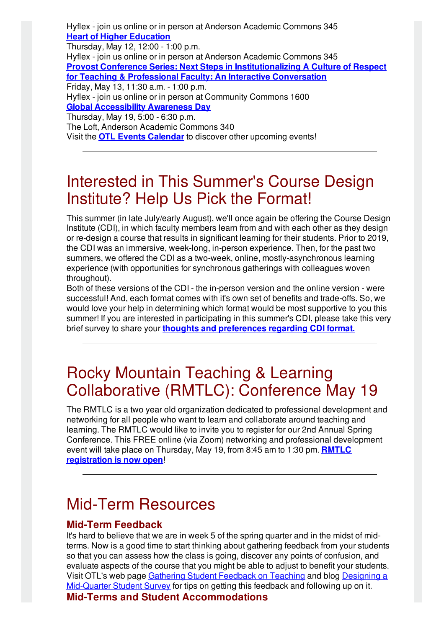Hyflex - join us online or in person at Anderson Academic Commons 345 **Heart of Higher [Education](https://otl-events.du.edu/public/registration/5873)**

Thursday, May 12, 12:00 - 1:00 p.m.

Monday, May 9, 10:00 - 11:00 a.m.

Hyflex - join us online or in person at Anderson Academic Commons 345 **Provost Conference Series: Next Steps in [Institutionalizing](https://otl-events.du.edu/public/registration/5876) A Culture of Respect for Teaching & Professional Faculty: An Interactive Conversation** Friday, May 13, 11:30 a.m. - 1:00 p.m. Hyflex - join us online or in person at Community Commons 1600 **Global [Accessibility](https://accessibility.du.edu/content/global-accessibility-awareness-day) Awareness Day** Thursday, May 19, 5:00 - 6:30 p.m. The Loft, Anderson Academic Commons 340 Visit the **OTL Events [Calendar](https://otl-events.du.edu/public/calendar)** to discover other upcoming events!

## Interested in This Summer's Course Design Institute? Help Us Pick the Format!

This summer (in late July/early August), we'll once again be offering the Course Design Institute (CDI), in which faculty members learn from and with each other as they design or re-design a course that results in significant learning for their students. Prior to 2019, the CDI was an immersive, week-long, in-person experience. Then, for the past two summers, we offered the CDI as a two-week, online, mostly-asynchronous learning experience (with opportunities for synchronous gatherings with colleagues woven throughout).

Both of these versions of the CDI - the in-person version and the online version - were successful! And, each format comes with it's own set of benefits and trade-offs. So, we would love your help in determining which format would be most supportive to you this summer! If you are interested in participating in this summer's CDI, please take this very brief survey to share your **thoughts and [preferences](https://udenver.qualtrics.com/jfe/form/SV_ePu48Xv68r3OKpw) regarding CDI format.**

## Rocky Mountain Teaching & Learning Collaborative (RMTLC): Conference May 19

The RMTLC is a two year old organization dedicated to professional development and networking for all people who want to learn and collaborate around teaching and learning. The RMTLC would like to invite you to register for our 2nd Annual Spring Conference. This FREE online (via Zoom) networking and professional development event will take place on Thursday, May 19, from 8:45 am to 1:30 pm. **RMTLC [registration](https://cuboulder.qualtrics.com/jfe/form/SV_8345AHBIq61T93M) is now open**!

## Mid-Term Resources

#### **Mid-Term Feedback**

It's hard to believe that we are in week 5 of the spring quarter and in the midst of midterms. Now is a good time to start thinking about gathering feedback from your students so that you can assess how the class is going, discover any points of confusion, and evaluate aspects of the course that you might be able to adjust to benefit your students. Visit OTL's web page Gathering Student [Feedback](https://otl.du.edu/plan-a-course/teaching-resources/gathering-student-feedback-on-teaching/) on Teaching and blog Designing a [Mid-Quarter](https://otl.du.edu/designing-a-mid-quarter-student-survey-2/) Student Survey for tips on getting this feedback and following up on it. **Mid-Terms and Student Accommodations**